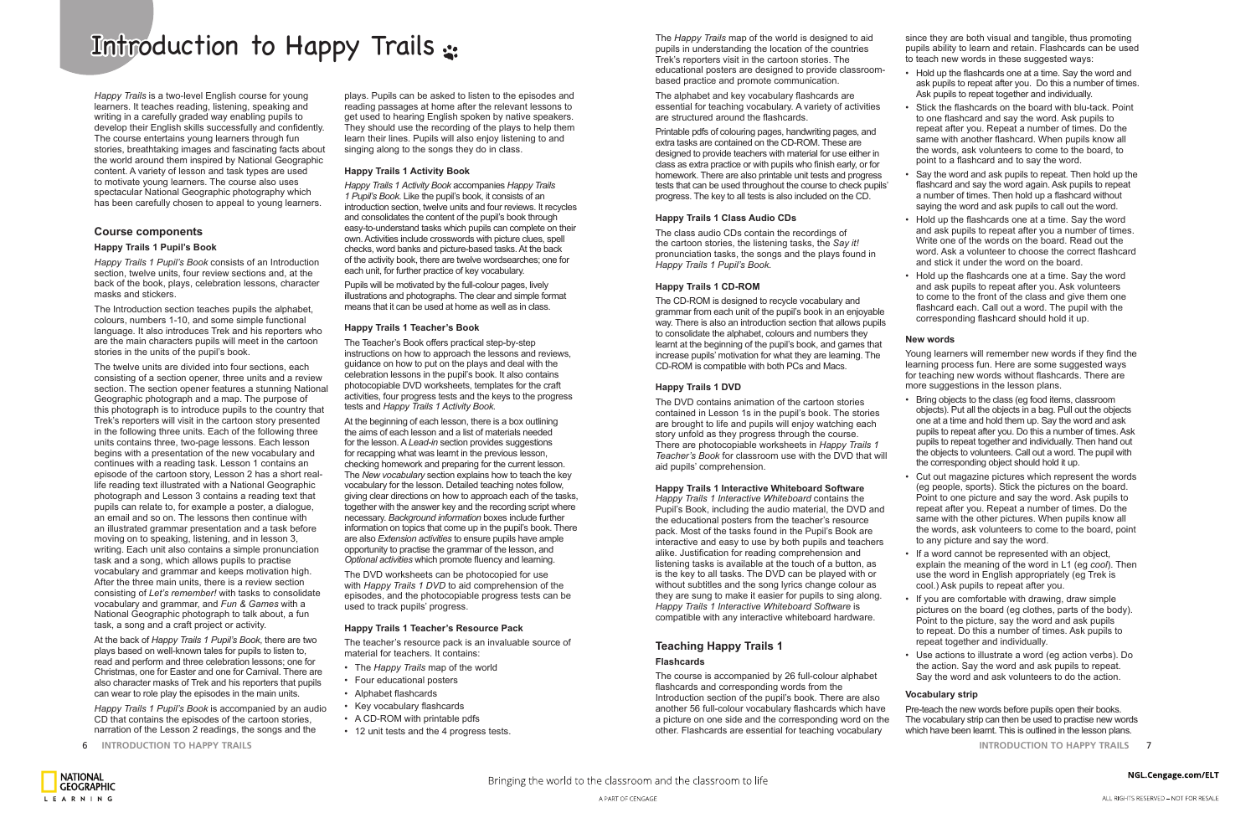6 **INTRODUCTION TO HAPPY TRAILS INTRODUCTION TO HAPPY TRAILS** 7

# Introduction to Happy Trails :

*Happy Trails* is a two-level English course for young learners. It teaches reading, listening, speaking and writing in a carefully graded way enabling pupils to develop their English skills successfully and confidently. The course entertains young learners through fun stories, breathtaking images and fascinating facts about the world around them inspired by National Geographic content. A variety of lesson and task types are used to motivate young learners. The course also uses spectacular National Geographic photography which has been carefully chosen to appeal to young learners.

## **Course components**

#### **Happy Trails 1 Pupil's Book**

*Happy Trails 1 Pupil's Book* consists of an Introduction section, twelve units, four review sections and, at the back of the book, plays, celebration lessons, character masks and stickers.

The Introduction section teaches pupils the alphabet, colours, numbers 1-10, and some simple functional language. It also introduces Trek and his reporters who are the main characters pupils will meet in the cartoon stories in the units of the pupil's book.

The twelve units are divided into four sections, each consisting of a section opener, three units and a review section. The section opener features a stunning National Geographic photograph and a map. The purpose of this photograph is to introduce pupils to the country that Trek's reporters will visit in the cartoon story presented in the following three units. Each of the following three units contains three, two-page lessons. Each lesson begins with a presentation of the new vocabulary and continues with a reading task. Lesson 1 contains an episode of the cartoon story, Lesson 2 has a short reallife reading text illustrated with a National Geographic photograph and Lesson 3 contains a reading text that pupils can relate to, for example a poster, a dialogue, an email and so on. The lessons then continue with an illustrated grammar presentation and a task before moving on to speaking, listening, and in lesson 3, writing. Each unit also contains a simple pronunciation task and a song, which allows pupils to practise vocabulary and grammar and keeps motivation high. After the three main units, there is a review section consisting of *Let's remember!* with tasks to consolidate vocabulary and grammar, and *Fun & Games* with a National Geographic photograph to talk about, a fun task, a song and a craft project or activity.

At the back of *Happy Trails 1 Pupil's Book*, there are two plays based on well-known tales for pupils to listen to, read and perform and three celebration lessons; one for Christmas, one for Easter and one for Carnival. There are also character masks of Trek and his reporters that pupils can wear to role play the episodes in the main units.

*Happy Trails 1 Pupil's Book* is accompanied by an audio CD that contains the episodes of the cartoon stories, narration of the Lesson 2 readings, the songs and the

plays. Pupils can be asked to listen to the episodes and reading passages at home after the relevant lessons to get used to hearing English spoken by native speakers. They should use the recording of the plays to help them learn their lines. Pupils will also enjoy listening to and singing along to the songs they do in class.

#### **Happy Trails 1 Activity Book**

*Happy Trails 1 Activity Book* accompanies *Happy Trails 1 Pupil's Book*. Like the pupil's book, it consists of an introduction section, twelve units and four reviews. It recycles and consolidates the content of the pupil's book through easy-to-understand tasks which pupils can complete on their own. Activities include crosswords with picture clues, spell checks, word banks and picture-based tasks. At the back of the activity book, there are twelve wordsearches; one for each unit, for further practice of key vocabulary.

Pupils will be motivated by the full-colour pages, lively illustrations and photographs. The clear and simple format means that it can be used at home as well as in class.

#### **Happy Trails 1 Teacher's Book**

The Teacher's Book offers practical step-by-step instructions on how to approach the lessons and reviews, guidance on how to put on the plays and deal with the celebration lessons in the pupil's book. It also contains photocopiable DVD worksheets, templates for the craft activities, four progress tests and the keys to the progress tests and *Happy Trails 1 Activity Book.*

At the beginning of each lesson, there is a box outlining the aims of each lesson and a list of materials needed for the lesson. A *Lead-in* section provides suggestions for recapping what was learnt in the previous lesson, checking homework and preparing for the current lesson. The *New vocabulary* section explains how to teach the key vocabulary for the lesson. Detailed teaching notes follow, giving clear directions on how to approach each of the tasks, together with the answer key and the recording script where necessary. *Background information* boxes include further information on topics that come up in the pupil's book. There are also *Extension activities* to ensure pupils have ample opportunity to practise the grammar of the lesson, and *Optional activities* which promote fluency and learning.

The DVD worksheets can be photocopied for use with *Happy Trails 1 DVD* to aid comprehension of the episodes, and the photocopiable progress tests can be used to track pupils' progress.

#### **Happy Trails 1 Teacher's Resource Pack**

The teacher's resource pack is an invaluable source of material for teachers. It contains:

- The *Happy Trails* map of the world
- Four educational posters
- Alphabet flashcards
- Key vocabulary flashcards
- A CD-ROM with printable pdfs
- 12 unit tests and the 4 progress tests.

The *Happy Trails* map of the world is designed to aid pupils in understanding the location of the countries Trek's reporters visit in the cartoon stories. The educational posters are designed to provide classroombased practice and promote communication.

The alphabet and key vocabulary flashcards are essential for teaching vocabulary. A variety of activities are structured around the flashcards.

Printable pdfs of colouring pages, handwriting pages, and extra tasks are contained on the CD-ROM. These are designed to provide teachers with material for use either in class as extra practice or with pupils who finish early, or for homework. There are also printable unit tests and progress tests that can be used throughout the course to check pupils' progress. The key to all tests is also included on the CD.

#### **Happy Trails 1 Class Audio CDs**

The class audio CDs contain the recordings of the cartoon stories, the listening tasks, the *Say it!* pronunciation tasks, the songs and the plays found in *Happy Trails 1 Pupil's Book.*

#### **Happy Trails 1 CD-ROM**

The CD-ROM is designed to recycle vocabulary and grammar from each unit of the pupil's book in an enjoyable way. There is also an introduction section that allows pupils to consolidate the alphabet, colours and numbers they learnt at the beginning of the pupil's book, and games that increase pupils' motivation for what they are learning. The CD-ROM is compatible with both PCs and Macs.

#### **Happy Trails 1 DVD**

The DVD contains animation of the cartoon stories contained in Lesson 1s in the pupil's book. The stories are brought to life and pupils will enjoy watching each story unfold as they progress through the course. There are photocopiable worksheets in *Happy Trails 1 Teacher's Book* for classroom use with the DVD that will aid pupils' comprehension.

#### **Happy Trails 1 Interactive Whiteboard Software**

*Happy Trails 1 Interactive Whiteboard* contains the Pupil's Book, including the audio material, the DVD and the educational posters from the teacher's resource pack. Most of the tasks found in the Pupil's Book are interactive and easy to use by both pupils and teachers alike. Justification for reading comprehension and listening tasks is available at the touch of a button, as is the key to all tasks. The DVD can be played with or without subtitles and the song lyrics change colour as they are sung to make it easier for pupils to sing along. *Happy Trails 1 Interactive Whiteboard Software* is compatible with any interactive whiteboard hardware.

# **Teaching Happy Trails 1**

#### **Flashcards**

The course is accompanied by 26 full-colour alphabet flashcards and corresponding words from the Introduction section of the pupil's book. There are also another 56 full-colour vocabulary flashcards which have a picture on one side and the corresponding word on the other. Flashcards are essential for teaching vocabulary

since they are both visual and tangible, thus promoting pupils ability to learn and retain. Flashcards can be used to teach new words in these suggested ways:

• Hold up the flashcards one at a time. Say the word and ask pupils to repeat after you. Do this a number of times. Ask pupils to repeat together and individually.

• Stick the flashcards on the board with blu-tack. Point to one flashcard and say the word. Ask pupils to repeat after you. Repeat a number of times. Do the same with another flashcard. When pupils know all the words, ask volunteers to come to the board, to point to a flashcard and to say the word.

• Say the word and ask pupils to repeat. Then hold up the flashcard and say the word again. Ask pupils to repeat a number of times. Then hold up a flashcard without saying the word and ask pupils to call out the word.

• Hold up the flashcards one at a time. Say the word and ask pupils to repeat after you a number of times. Write one of the words on the board. Read out the word. Ask a volunteer to choose the correct flashcard and stick it under the word on the board.

• Hold up the flashcards one at a time. Say the word and ask pupils to repeat after you. Ask volunteers to come to the front of the class and give them one flashcard each. Call out a word. The pupil with the corresponding flashcard should hold it up.

#### **New words**

Young learners will remember new words if they find the learning process fun. Here are some suggested ways for teaching new words without flashcards. There are more suggestions in the lesson plans.

• Bring objects to the class (eg food items, classroom objects). Put all the objects in a bag. Pull out the objects one at a time and hold them up. Say the word and ask pupils to repeat after you. Do this a number of times. Ask pupils to repeat together and individually. Then hand out the objects to volunteers. Call out a word. The pupil with the corresponding object should hold it up.

• Cut out magazine pictures which represent the words (eg people, sports). Stick the pictures on the board. Point to one picture and say the word. Ask pupils to repeat after you. Repeat a number of times. Do the same with the other pictures. When pupils know all the words, ask volunteers to come to the board, point to any picture and say the word.

• If a word cannot be represented with an object, explain the meaning of the word in L1 (eg *cool*). Then use the word in English appropriately (eg Trek is cool.) Ask pupils to repeat after you.

• If you are comfortable with drawing, draw simple pictures on the board (eg clothes, parts of the body). Point to the picture, say the word and ask pupils to repeat. Do this a number of times. Ask pupils to repeat together and individually.

• Use actions to illustrate a word (eg action verbs). Do the action. Say the word and ask pupils to repeat. Say the word and ask volunteers to do the action.

#### **Vocabulary strip**

Pre-teach the new words before pupils open their books. The vocabulary strip can then be used to practise new words which have been learnt. This is outlined in the lesson plans.